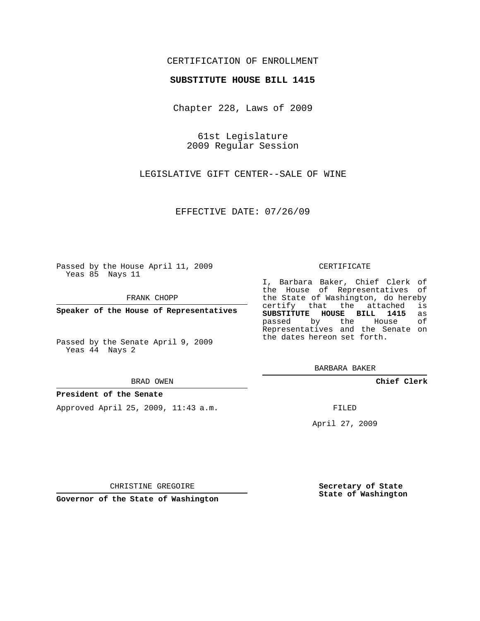## CERTIFICATION OF ENROLLMENT

### **SUBSTITUTE HOUSE BILL 1415**

Chapter 228, Laws of 2009

61st Legislature 2009 Regular Session

LEGISLATIVE GIFT CENTER--SALE OF WINE

EFFECTIVE DATE: 07/26/09

Passed by the House April 11, 2009 Yeas 85 Nays 11

FRANK CHOPP

**Speaker of the House of Representatives**

Passed by the Senate April 9, 2009 Yeas 44 Nays 2

BRAD OWEN

### **President of the Senate**

Approved April 25, 2009, 11:43 a.m.

#### CERTIFICATE

I, Barbara Baker, Chief Clerk of the House of Representatives of the State of Washington, do hereby<br>certify that the attached is certify that the attached **SUBSTITUTE HOUSE BILL 1415** as passed by the Representatives and the Senate on the dates hereon set forth.

BARBARA BAKER

**Chief Clerk**

FILED

April 27, 2009

CHRISTINE GREGOIRE

**Governor of the State of Washington**

**Secretary of State State of Washington**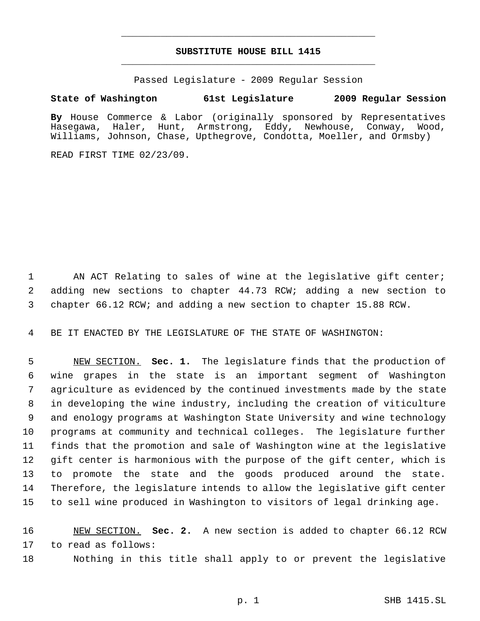# **SUBSTITUTE HOUSE BILL 1415** \_\_\_\_\_\_\_\_\_\_\_\_\_\_\_\_\_\_\_\_\_\_\_\_\_\_\_\_\_\_\_\_\_\_\_\_\_\_\_\_\_\_\_\_\_

\_\_\_\_\_\_\_\_\_\_\_\_\_\_\_\_\_\_\_\_\_\_\_\_\_\_\_\_\_\_\_\_\_\_\_\_\_\_\_\_\_\_\_\_\_

Passed Legislature - 2009 Regular Session

# **State of Washington 61st Legislature 2009 Regular Session**

**By** House Commerce & Labor (originally sponsored by Representatives Hasegawa, Haler, Hunt, Armstrong, Eddy, Newhouse, Conway, Wood, Williams, Johnson, Chase, Upthegrove, Condotta, Moeller, and Ormsby)

READ FIRST TIME 02/23/09.

1 AN ACT Relating to sales of wine at the legislative gift center; adding new sections to chapter 44.73 RCW; adding a new section to chapter 66.12 RCW; and adding a new section to chapter 15.88 RCW.

BE IT ENACTED BY THE LEGISLATURE OF THE STATE OF WASHINGTON:

 NEW SECTION. **Sec. 1.** The legislature finds that the production of wine grapes in the state is an important segment of Washington agriculture as evidenced by the continued investments made by the state in developing the wine industry, including the creation of viticulture and enology programs at Washington State University and wine technology programs at community and technical colleges. The legislature further finds that the promotion and sale of Washington wine at the legislative gift center is harmonious with the purpose of the gift center, which is to promote the state and the goods produced around the state. Therefore, the legislature intends to allow the legislative gift center to sell wine produced in Washington to visitors of legal drinking age.

 NEW SECTION. **Sec. 2.** A new section is added to chapter 66.12 RCW to read as follows:

Nothing in this title shall apply to or prevent the legislative